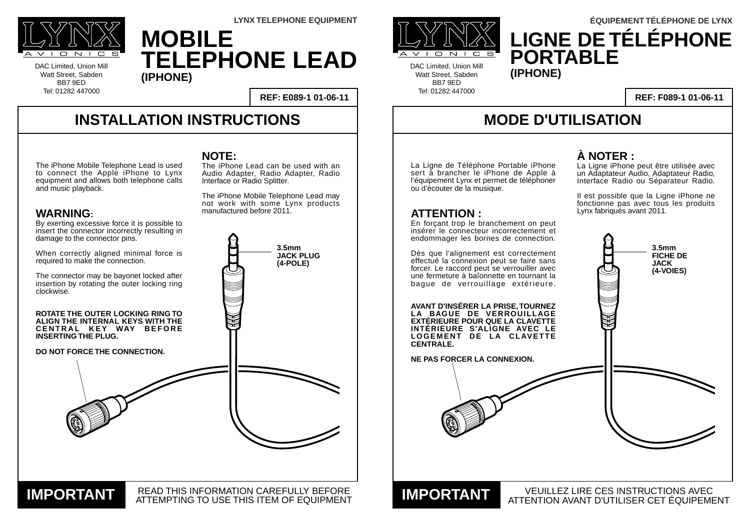La Ligne de Téléphone Portable iPhone sert à brancher le iPhone de Apple à l'équipement Lynx et permet de téléphoner ou d'écouter de la musique.

## **ATTENTION :**

En forçant trop le branchement on peut insérer le connecteur incorrectement et endommager les bornes de connection.

READ THIS INFORMATION CAREFULLY BEFORE **IMPORTANT READ THIS INFORMATION CAREFULLY BEFORE** 



Dès que l'alignement est correctement effectué la connexion peut se faire sans forcer. Le raccord peut se verrouiller avec une fermeture à baîonnette en tournant la bague de verrouillage extérieure.

**AVANT D'INSÉRER LA PRISE, TOURNEZ LA BAGUE DE VERROUILLAGE EXTÉRIEURE POUR QUE LA CLAVETTE INTÉRIEURE S'ALIGNE AVEC LE LOGEMENT DE LA CLAVETTE CENTRALE.**

#### **NE PAS FORCER LA CONNEXION.**

# **INSTALLATION INSTRUCTIONS**

By exerting excessive force it is possible to insert the connector incorrectly resulting in DAC Limited, Union Mill Watt Street, Sabden BB7 9ED Tel: 01282 447000



DAC Limited, Union Mill Watt Street, Sabden BB7 9ED Tel: 01282 447000

**REF: E089-1 01-06-11**

# **MODE D'UTILISATION**

#### VEUILLEZ LIRE CES INSTRUCTIONS AVEC ATTENTION AVANT D'UTILISER CET ÉQUIPEMENT **IMPORTANT**

The iPhone Lead can be used with an Audio Adapter, Radio Adapter, Radio Interface or Radio Splitter.

### **REF: F089-1 01-06-11**

# **MOBILE TELEPHONE LEAD (IPHONE)**



# **LIGNE DE TÉLÉPHONE PORTABLE LYNX TELEPHONE EQUIPMENT ÉQUIPEMENT TÉLÉPHONE DE LYNX**

The iPhone Mobile Telephone Lead is used to connect the Apple iPhone to Lynx equipment and allows both telephone calls and music playback.

### **WARNING:**





## **À NOTER :**

La Ligne iPhone peut être utilisée avec un Adaptateur Audio, Adaptateur Radio, Interface Radio ou Séparateur Radio.

Il est possible que la Ligne iPhone ne fonctionne pas avec tous les produits Lynx fabriqués avant 2011.

## **NOTE:**

The iPhone Mobile Telephone Lead may not work with some Lynx products manufactured before 2011.